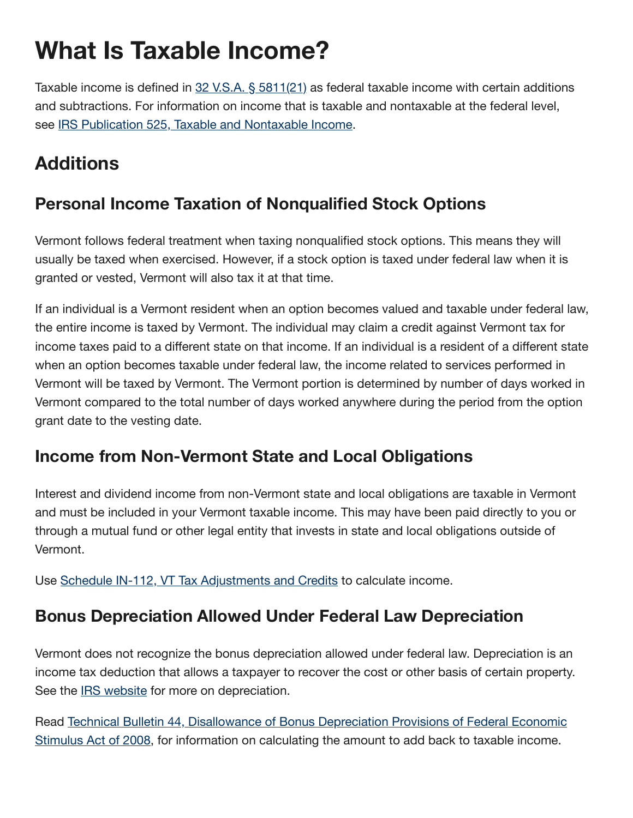# **What Is Taxable Income?**

Taxable income is defined in 32 V.S.A. § [5811\(21\)](http://legislature.vermont.gov/statutes/section/32/151/05811) as federal taxable income with certain additions and subtractions. For information on income that is taxable and nontaxable at the federal level, see IRS Publication 525, Taxable and [Nontaxable](http://www.irs.gov/pub/irs-pdf/p525.pdf) Income.

# **Additions**

## **Personal Income Taxation of Nonqualified Stock Options**

Vermont follows federal treatment when taxing nonqualified stock options. This means they will usually be taxed when exercised. However, if a stock option is taxed under federal law when it is granted or vested, Vermont will also tax it at that time.

If an individual is a Vermont resident when an option becomes valued and taxable under federal law, the entire income is taxed by Vermont. The individual may claim a credit against Vermont tax for income taxes paid to a different state on that income. If an individual is a resident of a different state when an option becomes taxable under federal law, the income related to services performed in Vermont will be taxed by Vermont. The Vermont portion is determined by number of days worked in Vermont compared to the total number of days worked anywhere during the period from the option grant date to the vesting date.

## **Income from Non-Vermont State and Local Obligations**

Interest and dividend income from non-Vermont state and local obligations are taxable in Vermont and must be included in your Vermont taxable income. This may have been paid directly to you or through a mutual fund or other legal entity that invests in state and local obligations outside of Vermont.

Use Schedule IN-112, VT Tax [Adjustments and](https://tax.vermont.gov/sites/tax/files/documents/IN-112-2021.pdf) Credits to calculate income.

#### **Bonus Depreciation Allowed Under Federal Law Depreciation**

Vermont does not recognize the bonus depreciation allowed under federal law. Depreciation is an income tax deduction that allows a taxpayer to recover the cost or other basis of certain property. See the **IRS** [website](http://www.irs.gov/Businesses/Small-Businesses-&-Self-Employed/A-Brief-Overview-of-Depreciation) for more on depreciation.

Read Technical Bulletin 44, Disallowance of [Bonus Depreciation](http://tax.vermont.gov/sites/tax/files/documents/TB44.pdf) Provisions of Federal Economic Stimulus Act of 2008, for information on calculating the amount to add back to taxable income.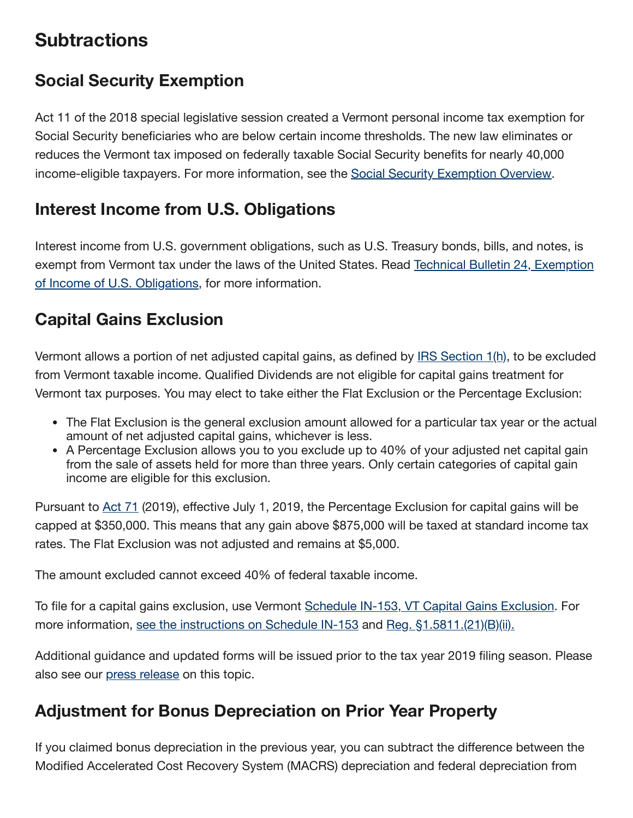## **Subtractions**

## **Social Security Exemption**

Act 11 of the 2018 special legislative session created a Vermont personal income tax exemption for Social Security beneficiaries who are below certain income thresholds. The new law eliminates or reduces the Vermont tax imposed on federally taxable Social Security benefits for nearly 40,000 income-eligible taxpayers. For more information, see the Social [Security Exemption](http://tax.vermont.gov/individuals/income-tax-returns/social-security-exemption) Overview.

#### **Interest Income from U.S. Obligations**

Interest income from U.S. government obligations, such as U.S. Treasury bonds, bills, and notes, is exempt from Vermont tax under the laws of the United States. Read Technical Bulletin 24, Exemption of Income of U.S. [Obligations,](http://tax.vermont.gov/sites/tax/files/documents/TB24rev4202014.pdf) for more information.

## **Capital Gains Exclusion**

Vermont allows a portion of net adjusted capital gains, as defined by IRS [Section](http://www.irs.gov/pub/irs-regs/td8836.pdf) 1(h), to be excluded from Vermont taxable income. Qualified Dividends are not eligible for capital gains treatment for Vermont tax purposes. You may elect to take either the Flat Exclusion or the Percentage Exclusion:

- The Flat Exclusion is the general exclusion amount allowed for a particular tax year or the actual amount of net adjusted capital gains, whichever is less.
- A Percentage Exclusion allows you to you exclude up to 40% of your adjusted net capital gain from the sale of assets held for more than three years. Only certain categories of capital gain income are eligible for this exclusion.

Pursuant to [Act](https://legislature.vermont.gov/Documents/2020/Docs/ACTS/ACT071/ACT071%20As%20Enacted.pdf) 71 (2019), effective July 1, 2019, the Percentage Exclusion for capital gains will be capped at \$350,000. This means that any gain above \$875,000 will be taxed at standard income tax rates. The Flat Exclusion was not adjusted and remains at \$5,000.

The amount excluded cannot exceed 40% of federal taxable income.

To file for a capital gains exclusion, use Vermont Schedule IN-153, VT Capital [Gains Exclusion](https://tax.vermont.gov/sites/tax/files/documents/IN-153-2021.pdf). For more information, see the [instructions on](https://tax.vermont.gov/sites/tax/files/documents/IN-153%20Instr-2021.pdf) Schedule IN-153 and Reg. [§1.5811.\(21\)\(B\)\(ii\).](http://legislature.vermont.gov/assets/Documents/2014/WorkGroups/House%20Ways%20and%20Means/13-P46%20Capital%20Gains%20Exclusion/W~Molly%20Bachman~Capital%20Gains%20Exclusion%20Rule~1-31-2014.pdf)

Additional guidance and updated forms will be issued prior to the tax year 2019 filing season. Please also see our [press release](https://tax.vermont.gov/Legislative-Changes-Will-Impact-the-Sale-of-Capital-Assets-and-Real-Estate) on this topic.

## **Adjustment for Bonus Depreciation on Prior Year Property**

If you claimed bonus depreciation in the previous year, you can subtract the difference between the Modified Accelerated Cost Recovery System (MACRS) depreciation and federal depreciation from